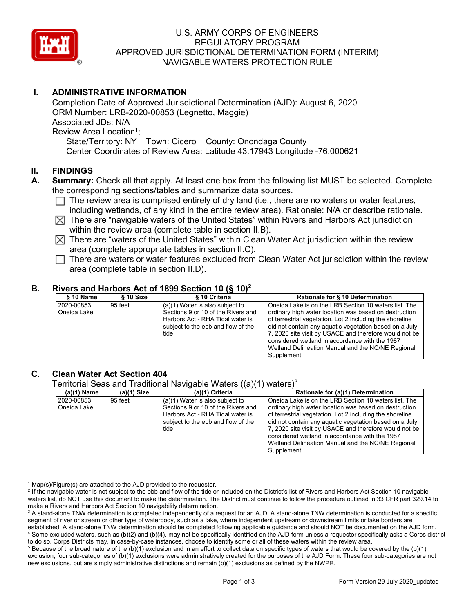

## U.S. ARMY CORPS OF ENGINEERS REGULATORY PROGRAM APPROVED JURISDICTIONAL DETERMINATION FORM (INTERIM) NAVIGABLE WATERS PROTECTION RULE

# **I. ADMINISTRATIVE INFORMATION**

Completion Date of Approved Jurisdictional Determination (AJD): August 6, 2020 ORM Number: LRB-2020-00853 (Legnetto, Maggie) Associated JDs: N/A Review Area Location<sup>1</sup>: State/Territory: NY Town: Cicero County: Onondaga County Center Coordinates of Review Area: Latitude 43.17943 Longitude -76.000621

## **II. FINDINGS**

- **A. Summary:** Check all that apply. At least one box from the following list MUST be selected. Complete the corresponding sections/tables and summarize data sources.
	- $\Box$  The review area is comprised entirely of dry land (i.e., there are no waters or water features, including wetlands, of any kind in the entire review area). Rationale: N/A or describe rationale.
	- $\boxtimes$  There are "navigable waters of the United States" within Rivers and Harbors Act jurisdiction within the review area (complete table in section II.B).
	- $\boxtimes$  There are "waters of the United States" within Clean Water Act jurisdiction within the review area (complete appropriate tables in section II.C).
	- $\Box$  There are waters or water features excluded from Clean Water Act jurisdiction within the review area (complete table in section II.D).

## **B. Rivers and Harbors Act of 1899 Section 10 (§ 10)2**

| $§ 10$ Name               | § 10 Size | § 10 Criteria                                                                                                                                             | Rationale for § 10 Determination                                                                                                                                                                                                                                                                                                                                                                      |
|---------------------------|-----------|-----------------------------------------------------------------------------------------------------------------------------------------------------------|-------------------------------------------------------------------------------------------------------------------------------------------------------------------------------------------------------------------------------------------------------------------------------------------------------------------------------------------------------------------------------------------------------|
| 2020-00853<br>Oneida Lake | 95 feet   | $(a)(1)$ Water is also subject to<br>Sections 9 or 10 of the Rivers and<br>Harbors Act - RHA Tidal water is<br>subject to the ebb and flow of the<br>tide | Oneida Lake is on the LRB Section 10 waters list. The<br>ordinary high water location was based on destruction<br>of terrestrial vegetation. Lot 2 including the shoreline<br>did not contain any aquatic vegetation based on a July<br>7, 2020 site visit by USACE and therefore would not be<br>considered wetland in accordance with the 1987<br>Wetland Delineation Manual and the NC/NE Regional |
|                           |           |                                                                                                                                                           | Supplement.                                                                                                                                                                                                                                                                                                                                                                                           |

## **C. Clean Water Act Section 404**

Territorial Seas and Traditional Navigable Waters  $((a)(1)$  waters)<sup>3</sup>

| (a)(1) Name | (a)(1) Size | (a)(1) Criteria                    | Rationale for (a)(1) Determination                       |
|-------------|-------------|------------------------------------|----------------------------------------------------------|
| 2020-00853  | 95 feet     | $(a)(1)$ Water is also subject to  | l Oneida Lake is on the LRB Section 10 waters list. The  |
| Oneida Lake |             | Sections 9 or 10 of the Rivers and | ordinary high water location was based on destruction    |
|             |             | Harbors Act - RHA Tidal water is   | of terrestrial vegetation. Lot 2 including the shoreline |
|             |             | subject to the ebb and flow of the | did not contain any aquatic vegetation based on a July   |
|             |             | tide                               | 7, 2020 site visit by USACE and therefore would not be   |
|             |             |                                    | considered wetland in accordance with the 1987           |
|             |             |                                    | Wetland Delineation Manual and the NC/NE Regional        |
|             |             |                                    | Supplement.                                              |

 $1$  Map(s)/Figure(s) are attached to the AJD provided to the requestor.

<sup>2</sup> If the navigable water is not subject to the ebb and flow of the tide or included on the District's list of Rivers and Harbors Act Section 10 navigable waters list, do NOT use this document to make the determination. The District must continue to follow the procedure outlined in 33 CFR part 329.14 to make a Rivers and Harbors Act Section 10 navigability determination.

<sup>3</sup> A stand-alone TNW determination is completed independently of a request for an AJD. A stand-alone TNW determination is conducted for a specific segment of river or stream or other type of waterbody, such as a lake, where independent upstream or downstream limits or lake borders are established. A stand-alone TNW determination should be completed following applicable guidance and should NOT be documented on the AJD form. <sup>4</sup> Some excluded waters, such as (b)(2) and (b)(4), may not be specifically identified on the AJD form unless a requestor specifically asks a Corps district to do so. Corps Districts may, in case-by-case instances, choose to identify some or all of these waters within the review area.

 $5$  Because of the broad nature of the (b)(1) exclusion and in an effort to collect data on specific types of waters that would be covered by the (b)(1) exclusion, four sub-categories of (b)(1) exclusions were administratively created for the purposes of the AJD Form. These four sub-categories are not new exclusions, but are simply administrative distinctions and remain (b)(1) exclusions as defined by the NWPR.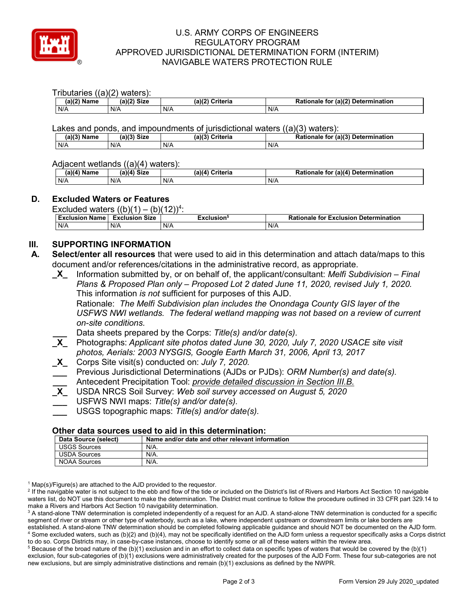

## U.S. ARMY CORPS OF ENGINEERS REGULATORY PROGRAM APPROVED JURISDICTIONAL DETERMINATION FORM (INTERIM) NAVIGABLE WATERS PROTECTION RULE

#### Tributaries ((a)(2) waters):

| $(a)(2)$ Name | $(a)(2)$ Size | (a)(2)<br><b>Criteria</b> | for (a)(2) Determination<br>Rationale |
|---------------|---------------|---------------------------|---------------------------------------|
| N/A           | N/A           | N/A                       | N/A                                   |

Lakes and ponds, and impoundments of jurisdictional waters ((a)(3) waters):

| (a)(3) Name | $(11/3)$ Size | (a)(3)<br><b>Criteria</b> | (1a)(3)<br><b>Determination</b><br>Rationale<br>for |
|-------------|---------------|---------------------------|-----------------------------------------------------|
| N/A         | N/A           | N/A                       | N/A                                                 |

## Adjacent wetlands ((a)(4) waters):

| (a)(4) Name | ----<br>(a)(4) Size | .<br>(a)(4) Criteria | r (a)(4) Determination<br><b>Rationale for</b> |
|-------------|---------------------|----------------------|------------------------------------------------|
|             |                     |                      |                                                |
| N/A         | N/A                 | N/A                  | $N/\ell$                                       |

## **D. Excluded Waters or Features**

Excluded waters  $((b)(1) - (b)(12))^4$ :

| Exclusion<br>⊦Name | Size<br>Exclusion | :xclusion° | <b>Rationale for Exclusion Determination</b> |
|--------------------|-------------------|------------|----------------------------------------------|
| N/A                | N/A               | N/A        | N/A                                          |

# **III. SUPPORTING INFORMATION**

- **A. Select/enter all resources** that were used to aid in this determination and attach data/maps to this document and/or references/citations in the administrative record, as appropriate.
	- **\_X\_** Information submitted by, or on behalf of, the applicant/consultant: *Melfi Subdivision – Final Plans & Proposed Plan only – Proposed Lot 2 dated June 11, 2020, revised July 1, 2020.* This information *is not* sufficient for purposes of this AJD. Rationale: *The Melfi Subdivision plan includes the Onondaga County GIS layer of the USFWS NWI wetlands. The federal wetland mapping was not based on a review of current on-site conditions.*

**\_\_\_** Data sheets prepared by the Corps: *Title(s) and/or date(s).*

- **\_X\_** Photographs: *Applicant site photos dated June 30, 2020, July 7, 2020 USACE site visit photos, Aerials: 2003 NYSGIS, Google Earth March 31, 2006, April 13, 2017*
- **\_X\_** Corps Site visit(s) conducted on: *July 7, 2020.*
- **\_\_\_** Previous Jurisdictional Determinations (AJDs or PJDs): *ORM Number(s) and date(s).*
- **\_\_\_** Antecedent Precipitation Tool: *provide detailed discussion in Section III.B.*
- **\_X\_** USDA NRCS Soil Survey: *Web soil survey accessed on August 5, 2020*
- **\_\_\_** USFWS NWI maps: *Title(s) and/or date(s).*
- **\_\_\_** USGS topographic maps: *Title(s) and/or date(s).*

## **Other data sources used to aid in this determination:**

| Data Source (select) | Name and/or date and other relevant information |
|----------------------|-------------------------------------------------|
| <b>USGS Sources</b>  | N/A.                                            |
| USDA Sources         | N/A.                                            |
| <b>NOAA Sources</b>  | N/A.                                            |

 $1$  Map(s)/Figure(s) are attached to the AJD provided to the requestor.

<sup>2</sup> If the navigable water is not subject to the ebb and flow of the tide or included on the District's list of Rivers and Harbors Act Section 10 navigable waters list, do NOT use this document to make the determination. The District must continue to follow the procedure outlined in 33 CFR part 329.14 to make a Rivers and Harbors Act Section 10 navigability determination.

<sup>3</sup> A stand-alone TNW determination is completed independently of a request for an AJD. A stand-alone TNW determination is conducted for a specific segment of river or stream or other type of waterbody, such as a lake, where independent upstream or downstream limits or lake borders are established. A stand-alone TNW determination should be completed following applicable guidance and should NOT be documented on the AJD form. <sup>4</sup> Some excluded waters, such as (b)(2) and (b)(4), may not be specifically identified on the AJD form unless a requestor specifically asks a Corps district to do so. Corps Districts may, in case-by-case instances, choose to identify some or all of these waters within the review area.

 $5$  Because of the broad nature of the (b)(1) exclusion and in an effort to collect data on specific types of waters that would be covered by the (b)(1) exclusion, four sub-categories of (b)(1) exclusions were administratively created for the purposes of the AJD Form. These four sub-categories are not new exclusions, but are simply administrative distinctions and remain (b)(1) exclusions as defined by the NWPR.